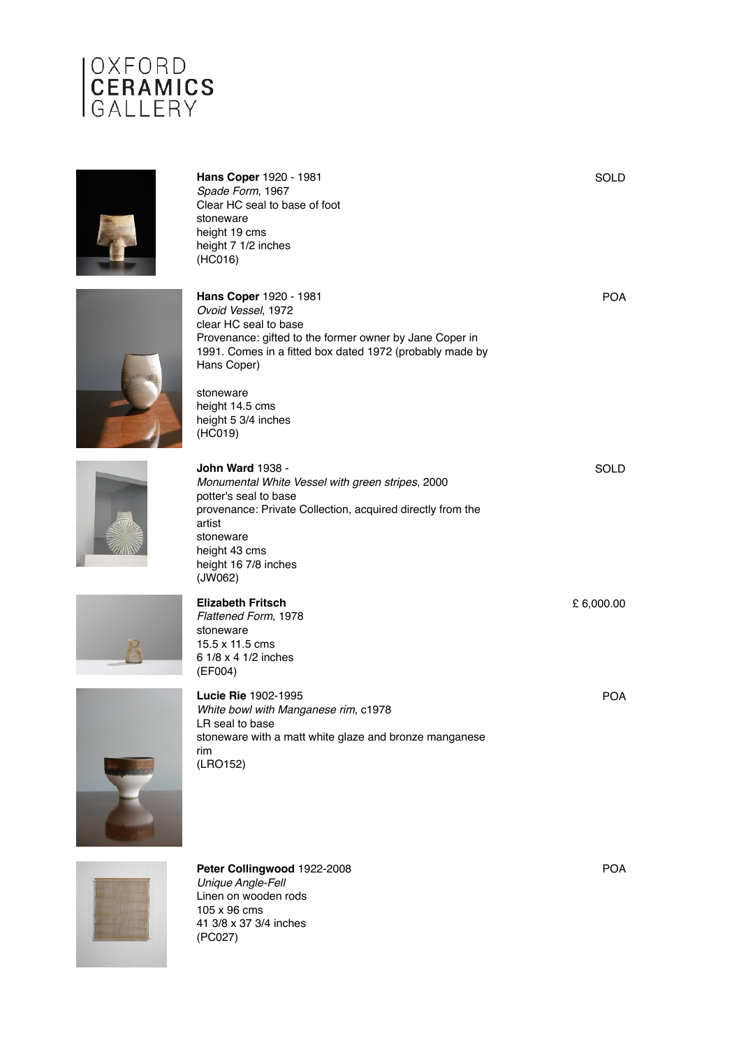



stoneware height 19 cms height 7 1/2 inches (HC016)



**Hans Coper** 1920 - 1981 *Ovoid Vessel*, 1972 clear HC seal to base Provenance: gifted to the former owner by Jane Coper in 1991. Comes in a fitted box dated 1972 (probably made by Hans Coper)

*Monumental White Vessel with green stripes*, 2000

provenance: Private Collection, acquired directly from the

stoneware height 14.5 cms height 5 3/4 inches (HC019)

**John Ward** 1938 -

potter's seal to base

**Hans Coper** 1920 - 1981 *Spade Form*, 1967

Clear HC seal to base of foot



stoneware height 43 cms height 16 7/8 inches (JW062) **Elizabeth Fritsch** *Flattened Form*, 1978 stoneware

artist

15.5 x 11.5 cms 6 1/8 x 4 1/2 inches (EF004)



**Lucie Rie** 1902-1995 *White bowl with Manganese rim*, c1978 LR seal to base stoneware with a matt white glaze and bronze manganese rim (LRO152)



**Peter Collingwood** 1922-2008 *Unique Angle-Fell* Linen on wooden rods 105 x 96 cms 41 3/8 x 37 3/4 inches (PC027)

POA

**SOLD** 

POA

SOLD

£ 6,000.00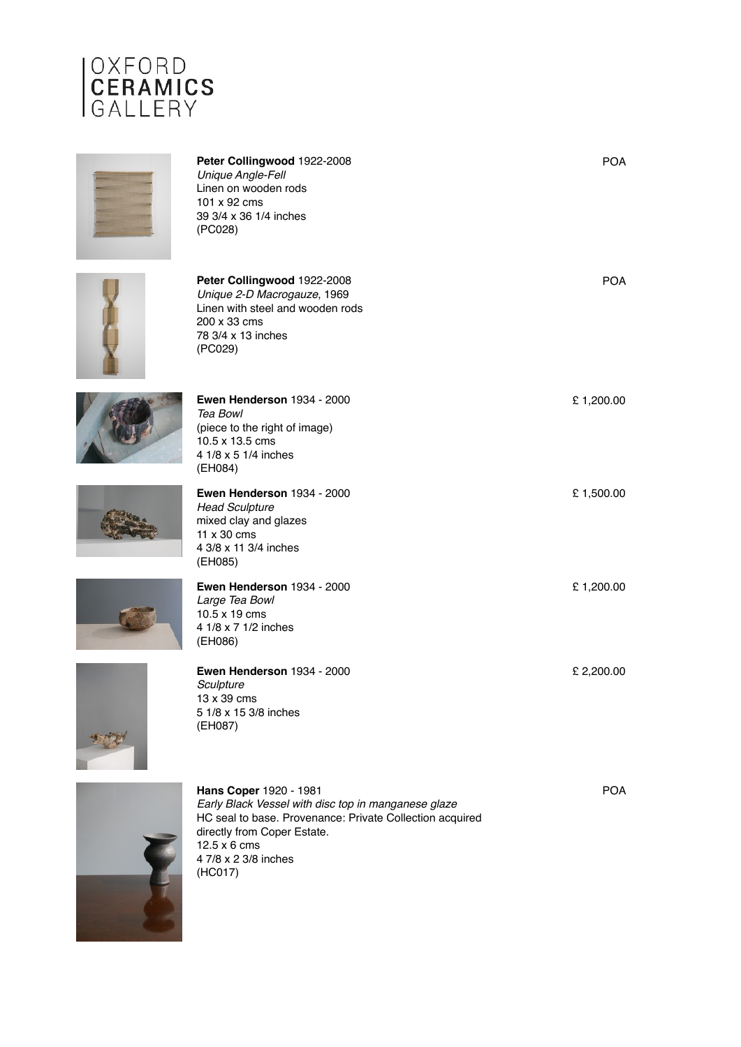

**Peter Collingwood** 1922-2008

*Unique Angle-Fell* Linen on wooden rods

101 x 92 cms





| 39 3/4 x 36 1/4 inches<br>(PC028)                                                                                                               |            |
|-------------------------------------------------------------------------------------------------------------------------------------------------|------------|
| Peter Collingwood 1922-2008<br>Unique 2-D Macrogauze, 1969<br>Linen with steel and wooden rods<br>200 x 33 cms<br>78 3/4 x 13 inches<br>(PC029) | <b>POA</b> |
| <b>Ewen Henderson 1934 - 2000</b><br>Tea Bowl<br>(piece to the right of image)<br>10.5 x 13.5 cms<br>4 1/8 x 5 1/4 inches<br>(EH084)            | £1,200.00  |
| <b>Ewen Henderson 1934 - 2000</b><br><b>Head Sculpture</b><br>mixed clay and glazes<br>$11 \times 30$ cms<br>4 3/8 x 11 3/4 inches<br>(EH085)   | £1,500.00  |
| Ewen Henderson 1934 - 2000<br>Large Tea Bowl<br>10.5 x 19 cms<br>4 1/8 x 7 1/2 inches<br>(EH086)                                                | £1,200.00  |
| Ewen Henderson 1934 - 2000<br>Sculpture<br>13 x 39 cms<br>5 1/8 x 15 3/8 inches                                                                 | £ 2,200.00 |



(EH087)

**Hans Coper** 1920 - 1981 *Early Black Vessel with disc top in manganese glaze* HC seal to base. Provenance: Private Collection acquired directly from Coper Estate. 12.5 x 6 cms 4 7/8 x 2 3/8 inches (HC017)

POA

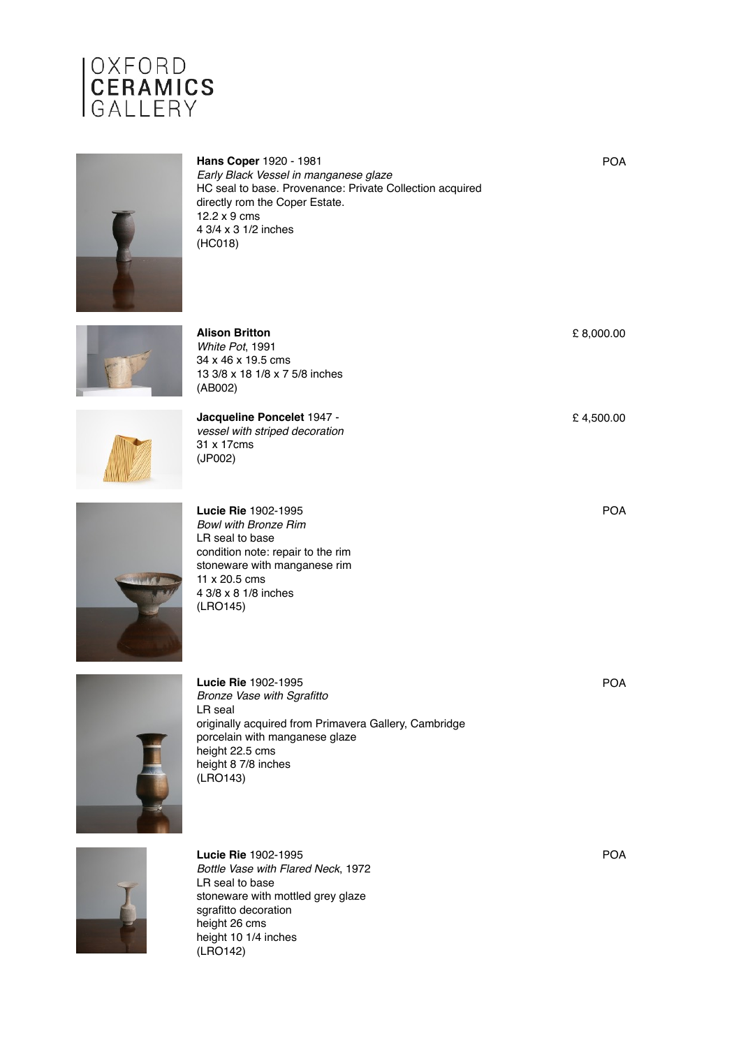



**Hans Coper** 1920 - 1981 *Early Black Vessel in manganese glaze* HC seal to base. Provenance: Private Collection acquired directly rom the Coper Estate. 12.2 x 9 cms 4 3/4 x 3 1/2 inches (HC018)



**Alison Britton** *White Pot*, 1991 34 x 46 x 19.5 cms 13 3/8 x 18 1/8 x 7 5/8 inches (AB002)

**Jacqueline Poncelet** 1947 *vessel with striped decoration* 31 x 17cms (JP002)

£ 8,000.00

POA

£ 4,500.00

POA

POA



**Lucie Rie** 1902-1995 *Bowl with Bronze Rim* LR seal to base condition note: repair to the rim stoneware with manganese rim 11 x 20.5 cms 4 3/8 x 8 1/8 inches (LRO145)



**Lucie Rie** 1902-1995 *Bronze Vase with Sgrafitto* LR seal originally acquired from Primavera Gallery, Cambridge porcelain with manganese glaze height 22.5 cms height 8 7/8 inches (LRO143)



**Lucie Rie** 1902-1995 *Bottle Vase with Flared Neck*, 1972 LR seal to base stoneware with mottled grey glaze sgrafitto decoration height 26 cms height 10 1/4 inches (LRO142)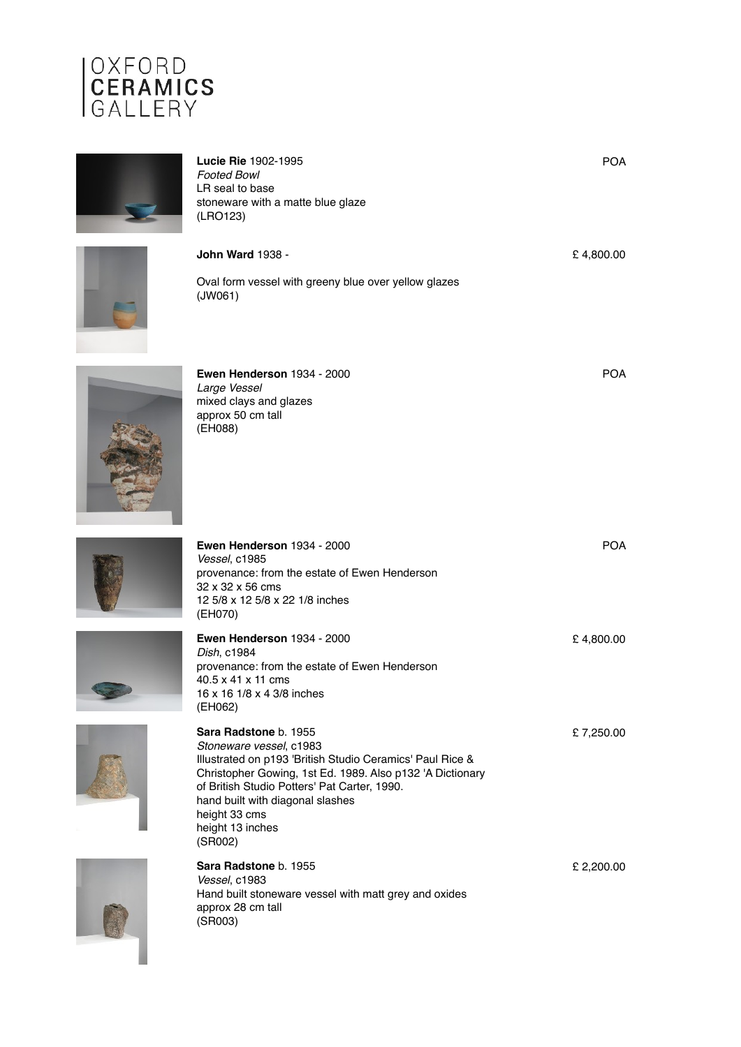



## **Lucie Rie** 1902-1995 *Footed Bowl* LR seal to base stoneware with a matte blue glaze (LRO123)



**John Ward** 1938 -

Oval form vessel with greeny blue over yellow glazes (JW061)



**Ewen Henderson** 1934 - 2000 *Large Vessel* mixed clays and glazes approx 50 cm tall (EH088)

**Ewen Henderson** 1934 - 2000

12 5/8 x 12 5/8 x 22 1/8 inches

provenance: from the estate of Ewen Henderson

*Vessel*, c1985

(EH070)

32 x 32 x 56 cms





**Ewen Henderson** 1934 - 2000 *Dish*, c1984 provenance: from the estate of Ewen Henderson 40.5 x 41 x 11 cms 16 x 16 1/8 x 4 3/8 inches (EH062) **Sara Radstone** b. 1955 *Stoneware vessel*, c1983 Illustrated on p193 'British Studio Ceramics' Paul Rice & Christopher Gowing, 1st Ed. 1989. Also p132 'A Dictionary of British Studio Potters' Pat Carter, 1990. hand built with diagonal slashes

height 33 cms height 13 inches (SR002)



**Sara Radstone** b. 1955 *Vessel*, c1983 Hand built stoneware vessel with matt grey and oxides approx 28 cm tall (SR003)

£ 4,800.00

POA

POA

POA

£ 4,800.00

£ 7,250.00

£ 2,200.00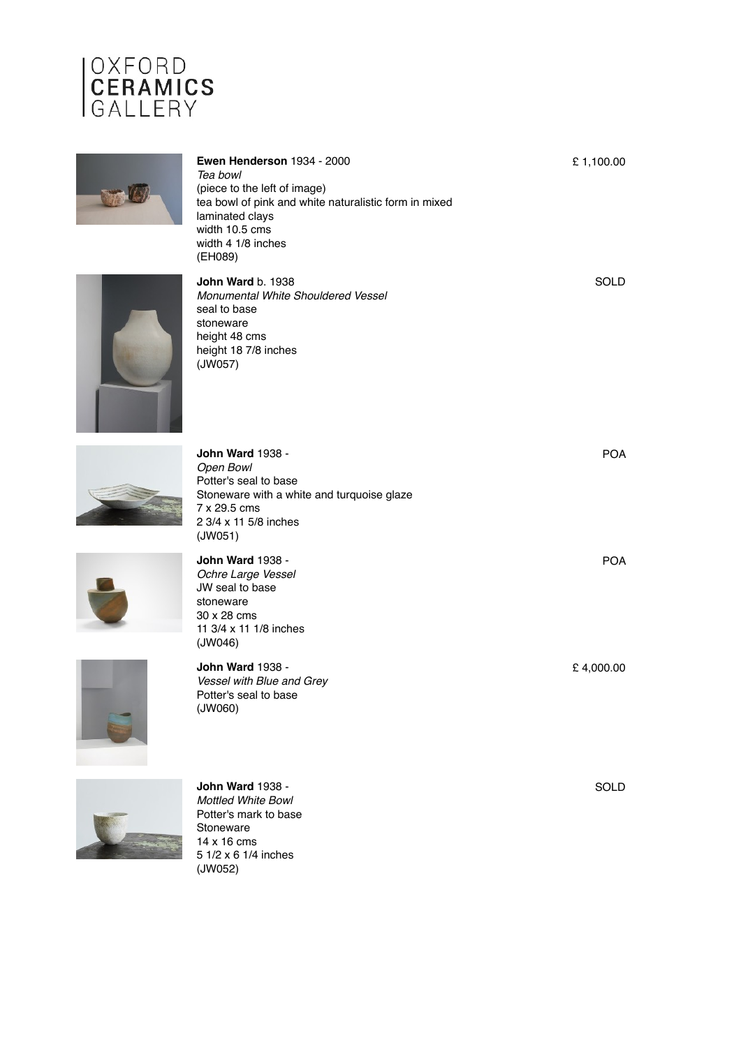







**John Ward** b. 1938 *Monumental White Shouldered Vessel* seal to base stoneware height 48 cms height 18 7/8 inches (JW057)



**John Ward** 1938 - *Open Bowl* Potter's seal to base Stoneware with a white and turquoise glaze 7 x 29.5 cms 2 3/4 x 11 5/8 inches (JW051)



**John Ward** 1938 - *Ochre Large Vessel* JW seal to base stoneware 30 x 28 cms 11 3/4 x 11 1/8 inches (JW046)

**John Ward** 1938 - *Vessel with Blue and Grey* Potter's seal to base (JW060)

**John Ward** 1938 - *Mottled White Bowl* Potter's mark to base Stoneware 14 x 16 cms 5 1/2 x 6 1/4 inches (JW052)

**SOLD** 

£ 4,000.00

£ 1,100.00

**SOLD** 

POA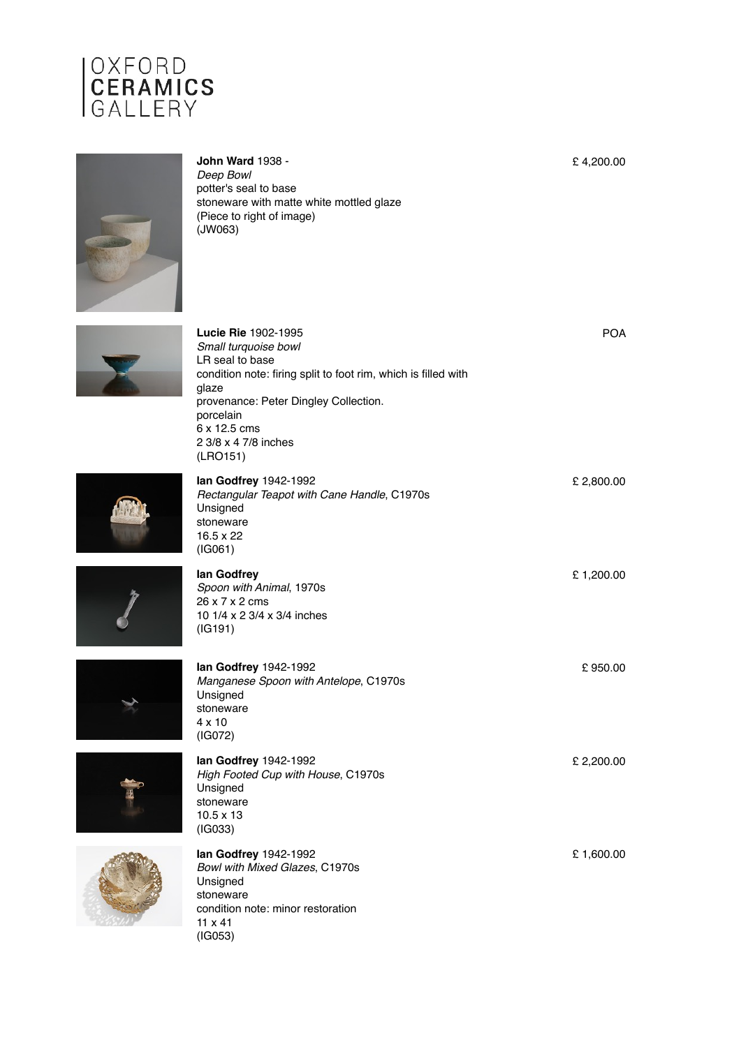



## **John Ward** 1938 -

*Deep Bowl*  potter's seal to base stoneware with matte white mottled glaze (Piece to right of image) (JW063)



| <b>Lucie Rie 1902-1995</b><br>Small turquoise bowl<br>LR seal to base<br>condition note: firing split to foot rim, which is filled with<br>glaze<br>provenance: Peter Dingley Collection.<br>porcelain<br>6 x 12.5 cms<br>2 3/8 x 4 7/8 inches<br>(LRO151) | <b>POA</b> |
|------------------------------------------------------------------------------------------------------------------------------------------------------------------------------------------------------------------------------------------------------------|------------|
| lan Godfrey 1942-1992<br>Rectangular Teapot with Cane Handle, C1970s<br>Unsigned<br>stoneware<br>16.5 x 22<br>(IG061)                                                                                                                                      | £ 2,800.00 |
| lan Godfrey<br>Spoon with Animal, 1970s<br>26 x 7 x 2 cms<br>10 1/4 x 2 3/4 x 3/4 inches<br>(IG191)                                                                                                                                                        | £1,200.00  |
| lan Godfrey 1942-1992<br>Manganese Spoon with Antelope, C1970s<br>Unsigned<br>stoneware<br>$4 \times 10$<br>(IG072)                                                                                                                                        | £950.00    |
| lan Godfrey 1942-1992<br>High Footed Cup with House, C1970s<br>Unsigned<br>stoneware<br>$10.5 \times 13$<br>(IG033)                                                                                                                                        | £ 2,200.00 |
| lan Godfrey 1942-1992<br>Bowl with Mixed Glazes, C1970s<br>Unsigned<br>stoneware<br>condition note: minor restoration<br>11 x 41                                                                                                                           | £ 1,600.00 |

£ 4,200.00











(IG053)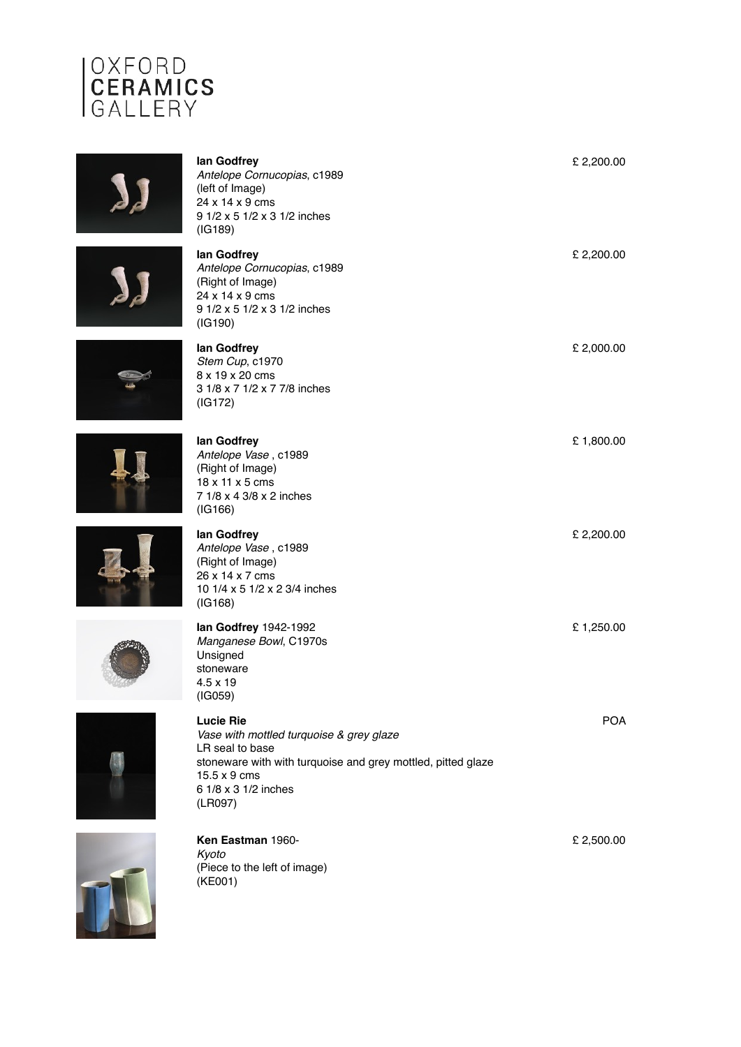

**Ian Godfrey**

(left of Image) 24 x 14 x 9 cms

**Ian Godfrey**

(IG189)

*Antelope Cornucopias*, c1989

9 1/2 x 5 1/2 x 3 1/2 inches













*Antelope Cornucopias*, c1989 (Right of Image) 24 x 14 x 9 cms 9 1/2 x 5 1/2 x 3 1/2 inches (IG190) **Ian Godfrey** *Stem Cup*, c1970 8 x 19 x 20 cms 3 1/8 x 7 1/2 x 7 7/8 inches (IG172) £ 2,000.00 **Ian Godfrey** *Antelope Vase* , c1989 (Right of Image) 18 x 11 x 5 cms 7 1/8 x 4 3/8 x 2 inches (IG166) £ 1,800.00 **Ian Godfrey** *Antelope Vase* , c1989 (Right of Image) 26 x 14 x 7 cms 10 1/4 x 5 1/2 x 2 3/4 inches (IG168) £ 2,200.00 **Ian Godfrey** 1942-1992 *Manganese Bowl*, C1970s Unsigned stoneware 4.5 x 19 (IG059) £ 1,250.00 **Lucie Rie** *Vase with mottled turquoise & grey glaze*  LR seal to base stoneware with with turquoise and grey mottled, pitted glaze 15.5 x 9 cms 6 1/8 x 3 1/2 inches (LR097)



**Ken Eastman** 1960- *Kyoto* (Piece to the left of image) (KE001)

£ 2,500.00

POA

£ 2,200.00

£ 2,200.00